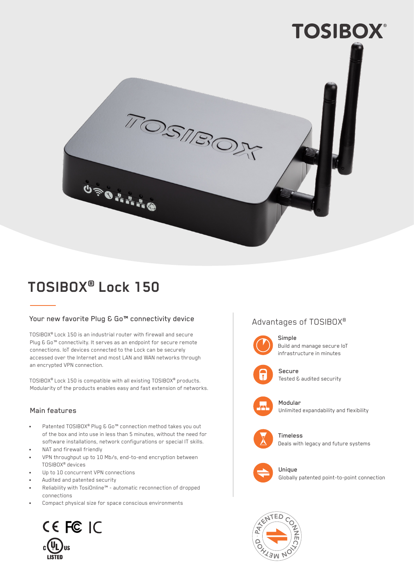

# **TOSIBOX® Lock 150**

## Your new favorite Plug & Go™ connectivity device

TOSIBOX® Lock 150 is an industrial router with firewall and secure Plug & Go<sup>™</sup> connectivity. It serves as an endpoint for secure remote connections. IoT devices connected to the Lock can be securely accessed over the Internet and most LAN and WAN networks through an encrypted VPN connection.

TOSIBOX® Lock 150 is compatible with all existing TOSIBOX® products. Modularity of the products enables easy and fast extension of networks.

## Main features

- Patented TOSIBOX® Plug & Go™ connection method takes you out of the box and into use in less than 5 minutes, without the need for software installations, network configurations or special IT skills.
- NAT and firewall friendly
- VPN throughput up to 10 Mb/s, end-to-end encryption between TOSIBOX® devices
- Up to 10 concurrent VPN connections
- Audited and patented security
- Reliability with TosiOnline™ automatic reconnection of dropped connections
- Compact physical size for space conscious environments



# Advantages of TOSIBOX®



#### Simple Build and manage secure IoT infrastructure in minutes



Secure Tested & audited security



Modular Unlimited expandability and flexibility



Timeless Deals with legacy and future systems



Unique Globally patented point-to-point connection